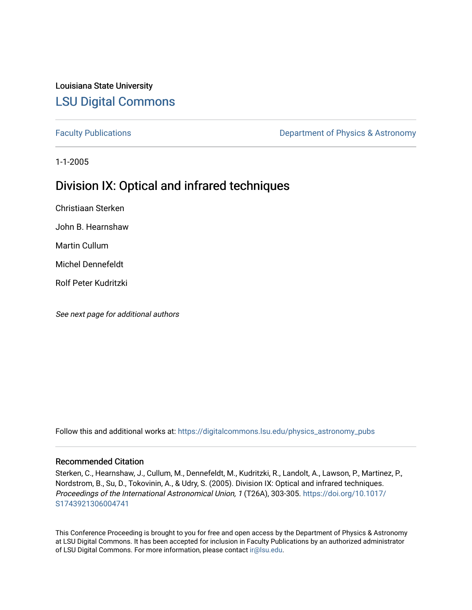# Louisiana State University [LSU Digital Commons](https://digitalcommons.lsu.edu/)

[Faculty Publications](https://digitalcommons.lsu.edu/physics_astronomy_pubs) **Exercise 2 and Table 2 and Table 2 and Table 2 and Table 2 and Table 2 and Table 2 and Table 2 and Table 2 and Table 2 and Table 2 and Table 2 and Table 2 and Table 2 and Table 2 and Table 2 and Table** 

1-1-2005

# Division IX: Optical and infrared techniques

Christiaan Sterken

John B. Hearnshaw

Martin Cullum

Michel Dennefeldt

Rolf Peter Kudritzki

See next page for additional authors

Follow this and additional works at: [https://digitalcommons.lsu.edu/physics\\_astronomy\\_pubs](https://digitalcommons.lsu.edu/physics_astronomy_pubs?utm_source=digitalcommons.lsu.edu%2Fphysics_astronomy_pubs%2F2910&utm_medium=PDF&utm_campaign=PDFCoverPages) 

# Recommended Citation

Sterken, C., Hearnshaw, J., Cullum, M., Dennefeldt, M., Kudritzki, R., Landolt, A., Lawson, P., Martinez, P., Nordstrom, B., Su, D., Tokovinin, A., & Udry, S. (2005). Division IX: Optical and infrared techniques. Proceedings of the International Astronomical Union, 1 (T26A), 303-305. [https://doi.org/10.1017/](https://doi.org/10.1017/S1743921306004741) [S1743921306004741](https://doi.org/10.1017/S1743921306004741) 

This Conference Proceeding is brought to you for free and open access by the Department of Physics & Astronomy at LSU Digital Commons. It has been accepted for inclusion in Faculty Publications by an authorized administrator of LSU Digital Commons. For more information, please contact [ir@lsu.edu](mailto:ir@lsu.edu).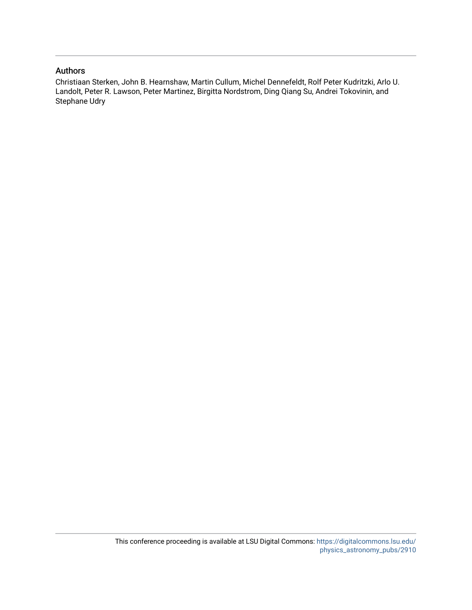# Authors

Christiaan Sterken, John B. Hearnshaw, Martin Cullum, Michel Dennefeldt, Rolf Peter Kudritzki, Arlo U. Landolt, Peter R. Lawson, Peter Martinez, Birgitta Nordstrom, Ding Qiang Su, Andrei Tokovinin, and Stephane Udry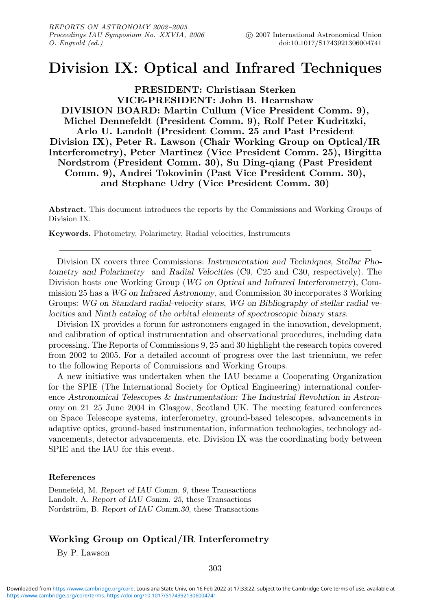# **Division IX: Optical and Infrared Techniques**

**PRESIDENT: Christiaan Sterken VICE-PRESIDENT: John B. Hearnshaw DIVISION BOARD: Martin Cullum (Vice President Comm. 9), Michel Dennefeldt (President Comm. 9), Rolf Peter Kudritzki, Arlo U. Landolt (President Comm. 25 and Past President Division IX), Peter R. Lawson (Chair Working Group on Optical/IR Interferometry), Peter Martinez (Vice President Comm. 25), Birgitta Nordstrom (President Comm. 30), Su Ding-qiang (Past President Comm. 9), Andrei Tokovinin (Past Vice President Comm. 30), and Stephane Udry (Vice President Comm. 30)**

**Abstract.** This document introduces the reports by the Commissions and Working Groups of Division IX.

**Keywords.** Photometry, Polarimetry, Radial velocities, Instruments

Division IX covers three Commissions: *Instrumentation and Techniques, Stellar Photometry and Polarimetry* and *Radial Velocities* (C9, C25 and C30, respectively). The Division hosts one Working Group (*WG on Optical and Infrared Interferometry*), Commission 25 has a *WG on Infrared Astronomy*, and Commission 30 incorporates 3 Working Groups: *WG on Standard radial-velocity stars*, *WG on Bibliography of stellar radial velocities* and *Ninth catalog of the orbital elements of spectroscopic binary stars*.

Division IX provides a forum for astronomers engaged in the innovation, development, and calibration of optical instrumentation and observational procedures, including data processing. The Reports of Commissions 9, 25 and 30 highlight the research topics covered from 2002 to 2005. For a detailed account of progress over the last triennium, we refer to the following Reports of Commissions and Working Groups.

A new initiative was undertaken when the IAU became a Cooperating Organization for the SPIE (The International Society for Optical Engineering) international conference *Astronomical Telescopes & Instrumentation: The Industrial Revolution in Astronomy* on 21–25 June 2004 in Glasgow, Scotland UK. The meeting featured conferences on Space Telescope systems, interferometry, ground-based telescopes, advancements in adaptive optics, ground-based instrumentation, information technologies, technology advancements, detector advancements, etc. Division IX was the coordinating body between SPIE and the IAU for this event.

### **References**

Dennefeld, M. *Report of IAU Comm. 9*, these Transactions Landolt, A. *Report of IAU Comm. 25*, these Transactions Nordström, B. *Report of IAU Comm.30*, these Transactions

## **Working Group on Optical/IR Interferometry**

By P. Lawson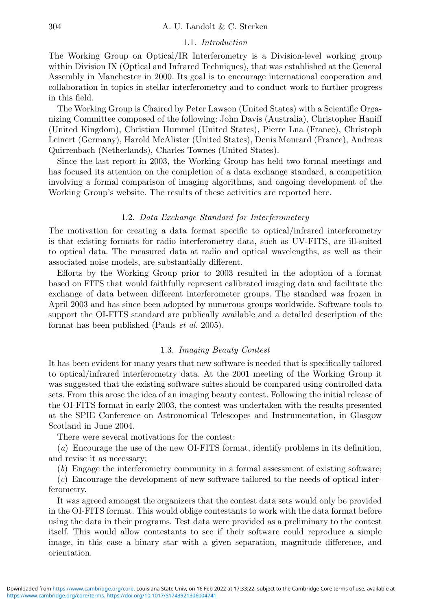### 1.1. Introduction

The Working Group on Optical/IR Interferometry is a Division-level working group within Division IX (Optical and Infrared Techniques), that was established at the General Assembly in Manchester in 2000. Its goal is to encourage international cooperation and collaboration in topics in stellar interferometry and to conduct work to further progress in this field.

The Working Group is Chaired by Peter Lawson (United States) with a Scientific Organizing Committee composed of the following: John Davis (Australia), Christopher Haniff (United Kingdom), Christian Hummel (United States), Pierre Lna (France), Christoph Leinert (Germany), Harold McAlister (United States), Denis Mourard (France), Andreas Quirrenbach (Netherlands), Charles Townes (United States).

Since the last report in 2003, the Working Group has held two formal meetings and has focused its attention on the completion of a data exchange standard, a competition involving a formal comparison of imaging algorithms, and ongoing development of the Working Group's website. The results of these activities are reported here.

#### 1.2. Data Exchange Standard for Interferometery

The motivation for creating a data format specific to optical/infrared interferometry is that existing formats for radio interferometry data, such as UV-FITS, are ill-suited to optical data. The measured data at radio and optical wavelengths, as well as their associated noise models, are substantially different.

Efforts by the Working Group prior to 2003 resulted in the adoption of a format based on FITS that would faithfully represent calibrated imaging data and facilitate the exchange of data between different interferometer groups. The standard was frozen in April 2003 and has since been adopted by numerous groups worldwide. Software tools to support the OI-FITS standard are publically available and a detailed description of the format has been published (Pauls *et al.* 2005).

#### 1.3. Imaging Beauty Contest

It has been evident for many years that new software is needed that is specifically tailored to optical/infrared interferometry data. At the 2001 meeting of the Working Group it was suggested that the existing software suites should be compared using controlled data sets. From this arose the idea of an imaging beauty contest. Following the initial release of the OI-FITS format in early 2003, the contest was undertaken with the results presented at the SPIE Conference on Astronomical Telescopes and Instrumentation, in Glasgow Scotland in June 2004.

There were several motivations for the contest:

(a) Encourage the use of the new OI-FITS format, identify problems in its definition, and revise it as necessary;

(b) Engage the interferometry community in a formal assessment of existing software;

(c) Encourage the development of new software tailored to the needs of optical interferometry.

It was agreed amongst the organizers that the contest data sets would only be provided in the OI-FITS format. This would oblige contestants to work with the data format before using the data in their programs. Test data were provided as a preliminary to the contest itself. This would allow contestants to see if their software could reproduce a simple image, in this case a binary star with a given separation, magnitude difference, and orientation.